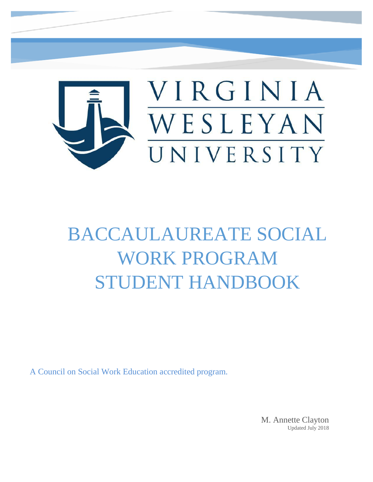

# BACCAULAUREATE SOCIAL WORK PROGRAM STUDENT HANDBOOK

A Council on Social Work Education accredited program.

M. Annette Clayton Updated July 2018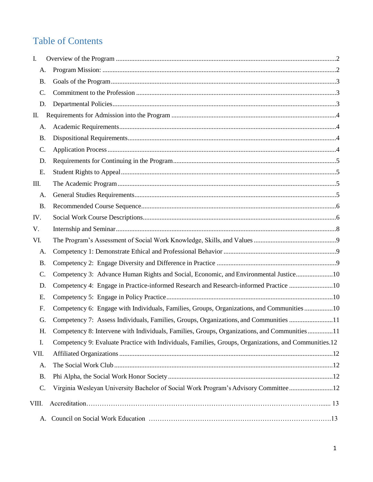## Table of Contents

| I.        |                                                                                                       |  |  |
|-----------|-------------------------------------------------------------------------------------------------------|--|--|
| A.        |                                                                                                       |  |  |
| <b>B.</b> |                                                                                                       |  |  |
| C.        |                                                                                                       |  |  |
| D.        |                                                                                                       |  |  |
| П.        |                                                                                                       |  |  |
| A.        |                                                                                                       |  |  |
| <b>B.</b> |                                                                                                       |  |  |
| C.        |                                                                                                       |  |  |
| D.        |                                                                                                       |  |  |
| Ε.        |                                                                                                       |  |  |
| III.      |                                                                                                       |  |  |
| A.        |                                                                                                       |  |  |
| <b>B.</b> |                                                                                                       |  |  |
| IV.       |                                                                                                       |  |  |
| V.        |                                                                                                       |  |  |
| VI.       |                                                                                                       |  |  |
| A.        |                                                                                                       |  |  |
| <b>B.</b> |                                                                                                       |  |  |
| C.        | Competency 3: Advance Human Rights and Social, Economic, and Environmental Justice10                  |  |  |
| D.        | Competency 4: Engage in Practice-informed Research and Research-informed Practice 10                  |  |  |
| Ε.        |                                                                                                       |  |  |
| F.        | Competency 6: Engage with Individuals, Families, Groups, Organizations, and Communities 10            |  |  |
| G.        | Competency 7: Assess Individuals, Families, Groups, Organizations, and Communities 11                 |  |  |
| Н.        | Competency 8: Intervene with Individuals, Families, Groups, Organizations, and Communities11          |  |  |
| I.        | Competency 9: Evaluate Practice with Individuals, Families, Groups, Organizations, and Communities.12 |  |  |
| VII.      |                                                                                                       |  |  |
| A.        |                                                                                                       |  |  |
| <b>B.</b> |                                                                                                       |  |  |
| C.        | Virginia Wesleyan University Bachelor of Social Work Program's Advisory Committee12                   |  |  |
| VIII.     |                                                                                                       |  |  |
| A.        |                                                                                                       |  |  |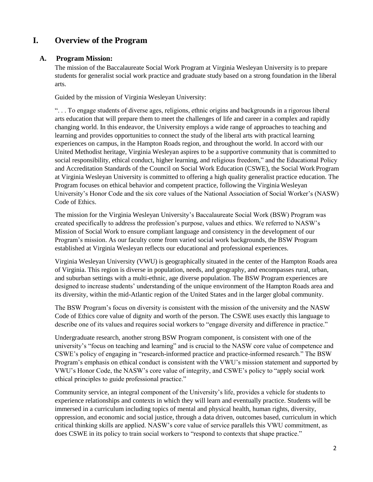## <span id="page-2-0"></span>**I. Overview of the Program**

#### <span id="page-2-1"></span>**A. Program Mission:**

The mission of the Baccalaureate Social Work Program at Virginia Wesleyan University is to prepare students for generalist social work practice and graduate study based on a strong foundation in the liberal arts.

Guided by the mission of Virginia Wesleyan University:

". . . To engage students of diverse ages, religions, ethnic origins and backgrounds in a rigorous liberal arts education that will prepare them to meet the challenges of life and career in a complex and rapidly changing world. In this endeavor, the University employs a wide range of approaches to teaching and learning and provides opportunities to connect the study of the liberal arts with practical learning experiences on campus, in the Hampton Roads region, and throughout the world. In accord with our United Methodist heritage, Virginia Wesleyan aspires to be a supportive community that is committed to social responsibility, ethical conduct, higher learning, and religious freedom," and the Educational Policy and Accreditation Standards of the Council on Social Work Education (CSWE), the Social Work Program at Virginia Wesleyan University is committed to offering a high quality generalist practice education. The Program focuses on ethical behavior and competent practice, following the Virginia Wesleyan University's Honor Code and the six core values of the National Association of Social Worker's (NASW) Code of Ethics.

The mission for the Virginia Wesleyan University's Baccalaureate Social Work (BSW) Program was created specifically to address the profession's purpose, values and ethics. We referred to NASW's Mission of Social Work to ensure compliant language and consistency in the development of our Program's mission. As our faculty come from varied social work backgrounds, the BSW Program established at Virginia Wesleyan reflects our educational and professional experiences.

Virginia Wesleyan University (VWU) is geographically situated in the center of the Hampton Roads area of Virginia. This region is diverse in population, needs, and geography, and encompasses rural, urban, and suburban settings with a multi-ethnic, age diverse population. The BSW Program experiences are designed to increase students' understanding of the unique environment of the Hampton Roads area and its diversity, within the mid-Atlantic region of the United States and in the larger global community.

The BSW Program's focus on diversity is consistent with the mission of the university and the NASW Code of Ethics core value of dignity and worth of the person. The CSWE uses exactly this language to describe one of its values and requires social workers to "engage diversity and difference in practice."

Undergraduate research, another strong BSW Program component, is consistent with one of the university's "focus on teaching and learning" and is crucial to the NASW core value of competence and CSWE's policy of engaging in "research-informed practice and practice-informed research." The BSW Program's emphasis on ethical conduct is consistent with the VWU's mission statement and supported by VWU's Honor Code, the NASW's core value of integrity, and CSWE's policy to "apply social work ethical principles to guide professional practice."

Community service, an integral component of the University's life, provides a vehicle for students to experience relationships and contexts in which they will learn and eventually practice. Students will be immersed in a curriculum including topics of mental and physical health, human rights, diversity, oppression, and economic and social justice, through a data driven, outcomes based, curriculum in which critical thinking skills are applied. NASW's core value of service parallels this VWU commitment, as does CSWE in its policy to train social workers to "respond to contexts that shape practice."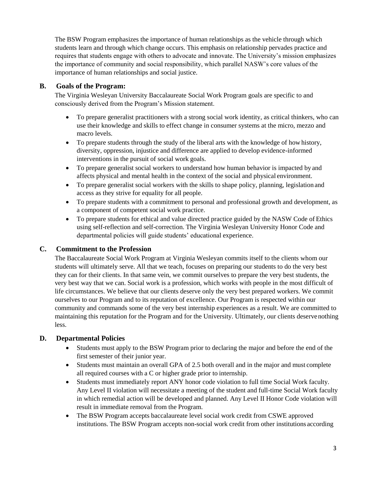The BSW Program emphasizes the importance of human relationships as the vehicle through which students learn and through which change occurs. This emphasis on relationship pervades practice and requires that students engage with others to advocate and innovate. The University's mission emphasizes the importance of community and social responsibility, which parallel NASW's core values of the importance of human relationships and social justice.

## <span id="page-3-0"></span>**B. Goals of the Program:**

The Virginia Wesleyan University Baccalaureate Social Work Program goals are specific to and consciously derived from the Program's Mission statement.

- To prepare generalist practitioners with a strong social work identity, as critical thinkers, who can use their knowledge and skills to effect change in consumer systems at the micro, mezzo and macro levels.
- To prepare students through the study of the liberal arts with the knowledge of how history, diversity, oppression, injustice and difference are applied to develop evidence-informed interventions in the pursuit of social work goals.
- To prepare generalist social workers to understand how human behavior is impacted by and affects physical and mental health in the context of the social and physical environment.
- To prepare generalist social workers with the skills to shape policy, planning, legislation and access as they strive for equality for all people.
- To prepare students with a commitment to personal and professional growth and development, as a component of competent social work practice.
- To prepare students for ethical and value directed practice guided by the NASW Code of Ethics using self-reflection and self-correction. The Virginia Wesleyan University Honor Code and departmental policies will guide students' educational experience.

## <span id="page-3-1"></span>**C. Commitment to the Profession**

The Baccalaureate Social Work Program at Virginia Wesleyan commits itself to the clients whom our students will ultimately serve. All that we teach, focuses on preparing our students to do the very best they can for their clients. In that same vein, we commit ourselves to prepare the very best students, the very best way that we can. Social work is a profession, which works with people in the most difficult of life circumstances. We believe that our clients deserve only the very best prepared workers. We commit ourselves to our Program and to its reputation of excellence. Our Program is respected within our community and commands some of the very best internship experiences as a result. We are committed to maintaining this reputation for the Program and for the University. Ultimately, our clients deservenothing less.

## <span id="page-3-2"></span>**D. Departmental Policies**

- Students must apply to the BSW Program prior to declaring the major and before the end of the first semester of their junior year.
- Students must maintain an overall GPA of 2.5 both overall and in the major and must complete all required courses with a C or higher grade prior to internship.
- Students must immediately report ANY honor code violation to full time Social Work faculty. Any Level II violation will necessitate a meeting of the student and full-time Social Work faculty in which remedial action will be developed and planned. Any Level II Honor Code violation will result in immediate removal from the Program.
- The BSW Program accepts baccalaureate level social work credit from CSWE approved institutions. The BSW Program accepts non-social work credit from other institutions according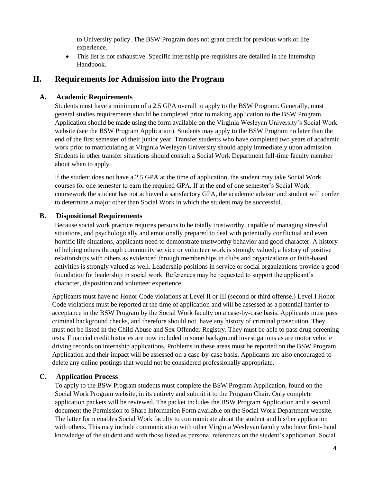to University policy. The BSW Program does not grant credit for previous work or life experience.

 This list is not exhaustive. Specific internship pre-requisites are detailed in the Internship Handbook.

## <span id="page-4-0"></span>**II. Requirements for Admission into the Program**

#### <span id="page-4-1"></span>**A. Academic Requirements**

Students must have a minimum of a 2.5 GPA overall to apply to the BSW Program. Generally, most general studies requirements should be completed prior to making application to the BSW Program. Application should be made using the form available on the Virginia Wesleyan University's Social Work website (see the BSW Program Application). Students may apply to the BSW Program no later than the end of the first semester of their junior year. Transfer students who have completed two years of academic work prior to matriculating at Virginia Wesleyan University should apply immediately upon admission. Students in other transfer situations should consult a Social Work Department full-time faculty member about when to apply.

If the student does not have a 2.5 GPA at the time of application, the student may take Social Work courses for one semester to earn the required GPA. If at the end of one semester's Social Work coursework the student has not achieved a satisfactory GPA, the academic advisor and student will confer to determine a major other than Social Work in which the student may be successful.

#### <span id="page-4-2"></span>**B. Dispositional Requirements**

Because social work practice requires persons to be totally trustworthy, capable of managing stressful situations, and psychologically and emotionally prepared to deal with potentially conflictual and even horrific life situations, applicants need to demonstrate trustworthy behavior and good character. A history of helping others through community service or volunteer work is strongly valued; a history of positive relationships with others as evidenced through memberships in clubs and organizations or faith-based activities is strongly valued as well. Leadership positions in service or social organizations provide a good foundation for leadership in social work. References may be requested to support the applicant's character, disposition and volunteer experience.

Applicants must have no Honor Code violations at Level II or III (second or third offense.) Level I Honor Code violations must be reported at the time of application and will be assessed as a potential barrier to acceptance in the BSW Program by the Social Work faculty on a case-by-case basis. Applicants must pass criminal background checks, and therefore should not have any history of criminal prosecution. They must not be listed in the Child Abuse and Sex Offender Registry. They must be able to pass drug screening tests. Financial credit histories are now included in some background investigations as are motor vehicle driving records on internship applications. Problems in these areas must be reported on the BSW Program Application and their impact will be assessed on a case-by-case basis. Applicants are also encouraged to delete any online postings that would not be considered professionally appropriate.

#### <span id="page-4-3"></span>**C. Application Process**

To apply to the BSW Program students must complete the BSW Program Application, found on the Social Work Program website, in its entirety and submit it to the Program Chair. Only complete application packets will be reviewed. The packet includes the BSW Program Application and a second document the Permission to Share Information Form available on the Social Work Department website. The latter form enables Social Work faculty to communicate about the student and his/her application with others. This may include communication with other Virginia Wesleyan faculty who have first- hand knowledge of the student and with those listed as personal references on the student's application. Social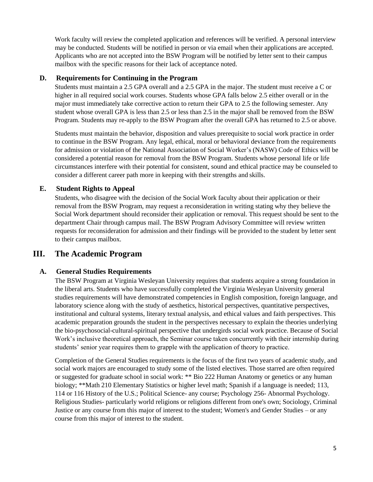Work faculty will review the completed application and references will be verified. A personal interview may be conducted. Students will be notified in person or via email when their applications are accepted. Applicants who are not accepted into the BSW Program will be notified by letter sent to their campus mailbox with the specific reasons for their lack of acceptance noted.

#### <span id="page-5-0"></span>**D. Requirements for Continuing in the Program**

Students must maintain a 2.5 GPA overall and a 2.5 GPA in the major. The student must receive a C or higher in all required social work courses. Students whose GPA falls below 2.5 either overall or in the major must immediately take corrective action to return their GPA to 2.5 the following semester. Any student whose overall GPA is less than 2.5 or less than 2.5 in the major shall be removed from the BSW Program. Students may re-apply to the BSW Program after the overall GPA has returned to 2.5 or above.

Students must maintain the behavior, disposition and values prerequisite to social work practice in order to continue in the BSW Program. Any legal, ethical, moral or behavioral deviance from the requirements for admission or violation of the National Association of Social Worker's (NASW) Code of Ethics will be considered a potential reason for removal from the BSW Program. Students whose personal life or life circumstances interfere with their potential for consistent, sound and ethical practice may be counseled to consider a different career path more in keeping with their strengths and skills.

#### <span id="page-5-1"></span>**E. Student Rights to Appeal**

Students, who disagree with the decision of the Social Work faculty about their application or their removal from the BSW Program, may request a reconsideration in writing stating why they believe the Social Work department should reconsider their application or removal. This request should be sent to the department Chair through campus mail. The BSW Program Advisory Committee will review written requests for reconsideration for admission and their findings will be provided to the student by letter sent to their campus mailbox.

## <span id="page-5-2"></span>**III. The Academic Program**

#### <span id="page-5-3"></span>**A. General Studies Requirements**

The BSW Program at Virginia Wesleyan University requires that students acquire a strong foundation in the liberal arts. Students who have successfully completed the Virginia Wesleyan University general studies requirements will have demonstrated competencies in English composition, foreign language, and laboratory science along with the study of aesthetics, historical perspectives, quantitative perspectives, institutional and cultural systems, literary textual analysis, and ethical values and faith perspectives. This academic preparation grounds the student in the perspectives necessary to explain the theories underlying the bio-psychosocial-cultural-spiritual perspective that undergirds social work practice. Because of Social Work's inclusive theoretical approach, the Seminar course taken concurrently with their internship during students' senior year requires them to grapple with the application of theory to practice.

Completion of the General Studies requirements is the focus of the first two years of academic study, and social work majors are encouraged to study some of the listed electives. Those starred are often required or suggested for graduate school in social work: \*\* Bio 222 Human Anatomy or genetics or any human biology; \*\*Math 210 Elementary Statistics or higher level math; Spanish if a language is needed; 113, 114 or 116 History of the U.S.; Political Science- any course; Psychology 256- Abnormal Psychology. Religious Studies- particularly world religions or religions different from one's own; Sociology, Criminal Justice or any course from this major of interest to the student; Women's and Gender Studies – or any course from this major of interest to the student.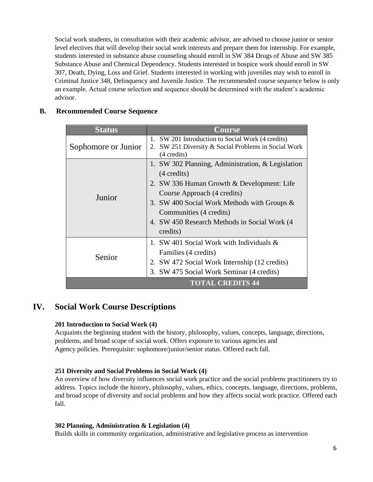Social work students, in consultation with their academic advisor, are advised to choose junior or senior level electives that will develop their social work interests and prepare them for internship. For example, students interested in substance abuse counseling should enroll in SW 384 Drugs of Abuse and SW 385 Substance Abuse and Chemical Dependency. Students interested in hospice work should enroll in SW 307, Death, Dying, Loss and Grief. Students interested in working with juveniles may wish to enroll in Criminal Justice 348, Delinquency and Juvenile Justice. The recommended course sequence below is only an example. Actual course selection and sequence should be determined with the student's academic advisor.

#### <span id="page-6-0"></span>**B. Recommended Course Sequence**

| <b>Status</b>       | <b>Course</b>                                                                                                                                                                                                                                                                                  |
|---------------------|------------------------------------------------------------------------------------------------------------------------------------------------------------------------------------------------------------------------------------------------------------------------------------------------|
| Sophomore or Junior | 1. SW 201 Introduction to Social Work (4 credits)<br>SW 251 Diversity & Social Problems in Social Work<br>2.<br>(4 credits)                                                                                                                                                                    |
| Junior              | 1. SW 302 Planning, Administration, & Legislation<br>$(4 \text{ credits})$<br>2. SW 336 Human Growth & Development: Life<br>Course Approach (4 credits)<br>3. SW 400 Social Work Methods with Groups &<br>Communities (4 credits)<br>4. SW 450 Research Methods in Social Work (4)<br>credits) |
| Senior              | 1. SW 401 Social Work with Individuals &<br>Families (4 credits)<br>2. SW 472 Social Work Internship (12 credits)<br>3. SW 475 Social Work Seminar (4 credits)                                                                                                                                 |
|                     | <b>TOTAL CREDITS 44</b>                                                                                                                                                                                                                                                                        |

## <span id="page-6-1"></span>**IV. Social Work Course Descriptions**

#### **201 Introduction to Social Work (4)**

Acquaints the beginning student with the history, philosophy, values, concepts, language, directions, problems, and broad scope of social work. Offers exposure to various agencies and Agency policies. Prerequisite: sophomore/junior/senior status. Offered each fall.

#### **251 Diversity and Social Problems in Social Work (4)**

An overview of how diversity influences social work practice and the social problems practitioners try to address. Topics include the history, philosophy, values, ethics, concepts, language, directions, problems, and broad scope of diversity and social problems and how they affects social work practice. Offered each fall.

#### **302 Planning, Administration & Legislation (4)**

Builds skills in community organization, administrative and legislative process as intervention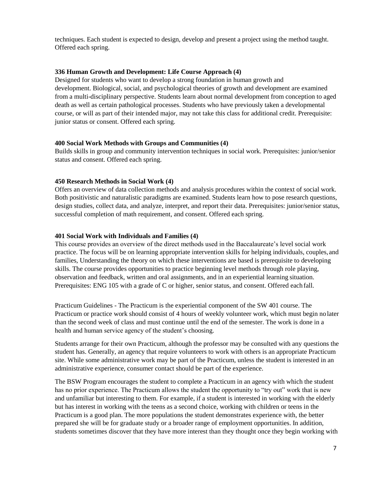techniques. Each student is expected to design, develop and present a project using the method taught. Offered each spring.

#### **336 Human Growth and Development: Life Course Approach (4)**

Designed for students who want to develop a strong foundation in human growth and development. Biological, social, and psychological theories of growth and development are examined from a multi-disciplinary perspective. Students learn about normal development from conception to aged death as well as certain pathological processes. Students who have previously taken a developmental course, or will as part of their intended major, may not take this class for additional credit. Prerequisite: junior status or consent. Offered each spring.

#### **400 Social Work Methods with Groups and Communities (4)**

Builds skills in group and community intervention techniques in social work. Prerequisites: junior/senior status and consent. Offered each spring.

#### **450 Research Methods in Social Work (4)**

Offers an overview of data collection methods and analysis procedures within the context of social work. Both positivistic and naturalistic paradigms are examined. Students learn how to pose research questions, design studies, collect data, and analyze, interpret, and report their data. Prerequisites: junior/senior status, successful completion of math requirement, and consent. Offered each spring.

#### **401 Social Work with Individuals and Families (4)**

This course provides an overview of the direct methods used in the Baccalaureate's level social work practice. The focus will be on learning appropriate intervention skills for helping individuals, couples,and families, Understanding the theory on which these interventions are based is prerequisite to developing skills. The course provides opportunities to practice beginning level methods through role playing, observation and feedback, written and oral assignments, and in an experiential learning situation. Prerequisites: ENG 105 with a grade of C or higher, senior status, and consent. Offered each fall.

Practicum Guidelines - The Practicum is the experiential component of the SW 401 course. The Practicum or practice work should consist of 4 hours of weekly volunteer work, which must begin nolater than the second week of class and must continue until the end of the semester. The work is done in a health and human service agency of the student's choosing.

Students arrange for their own Practicum, although the professor may be consulted with any questions the student has. Generally, an agency that require volunteers to work with others is an appropriate Practicum site. While some administrative work may be part of the Practicum, unless the student is interested in an administrative experience, consumer contact should be part of the experience.

The BSW Program encourages the student to complete a Practicum in an agency with which the student has no prior experience. The Practicum allows the student the opportunity to "try out" work that is new and unfamiliar but interesting to them. For example, if a student is interested in working with the elderly but has interest in working with the teens as a second choice, working with children or teens in the Practicum is a good plan. The more populations the student demonstrates experience with, the better prepared she will be for graduate study or a broader range of employment opportunities. In addition, students sometimes discover that they have more interest than they thought once they begin working with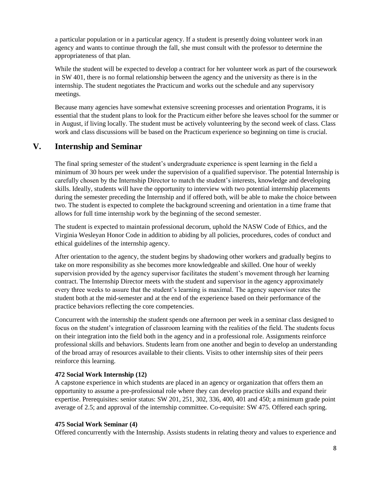a particular population or in a particular agency. If a student is presently doing volunteer work inan agency and wants to continue through the fall, she must consult with the professor to determine the appropriateness of that plan.

While the student will be expected to develop a contract for her volunteer work as part of the coursework in SW 401, there is no formal relationship between the agency and the university as there is in the internship. The student negotiates the Practicum and works out the schedule and any supervisory meetings.

Because many agencies have somewhat extensive screening processes and orientation Programs, it is essential that the student plans to look for the Practicum either before she leaves school for the summer or in August, if living locally. The student must be actively volunteering by the second week of class. Class work and class discussions will be based on the Practicum experience so beginning on time is crucial.

## <span id="page-8-0"></span>**V. Internship and Seminar**

The final spring semester of the student's undergraduate experience is spent learning in the field a minimum of 30 hours per week under the supervision of a qualified supervisor. The potential Internship is carefully chosen by the Internship Director to match the student's interests, knowledge and developing skills. Ideally, students will have the opportunity to interview with two potential internship placements during the semester preceding the Internship and if offered both, will be able to make the choice between two. The student is expected to complete the background screening and orientation in a time frame that allows for full time internship work by the beginning of the second semester.

The student is expected to maintain professional decorum, uphold the NASW Code of Ethics, and the Virginia Wesleyan Honor Code in addition to abiding by all policies, procedures, codes of conduct and ethical guidelines of the internship agency.

After orientation to the agency, the student begins by shadowing other workers and gradually begins to take on more responsibility as she becomes more knowledgeable and skilled. One hour of weekly supervision provided by the agency supervisor facilitates the student's movement through her learning contract. The Internship Director meets with the student and supervisor in the agency approximately every three weeks to assure that the student's learning is maximal. The agency supervisor rates the student both at the mid-semester and at the end of the experience based on their performance of the practice behaviors reflecting the core competencies.

Concurrent with the internship the student spends one afternoon per week in a seminar class designed to focus on the student's integration of classroom learning with the realities of the field. The students focus on their integration into the field both in the agency and in a professional role. Assignments reinforce professional skills and behaviors. Students learn from one another and begin to develop an understanding of the broad array of resources available to their clients. Visits to other internship sites of their peers reinforce this learning.

#### **472 Social Work Internship (12)**

A capstone experience in which students are placed in an agency or organization that offers them an opportunity to assume a pre-professional role where they can develop practice skills and expand their expertise. Prerequisites: senior status: SW 201, 251, 302, 336, 400, 401 and 450; a minimum grade point average of 2.5; and approval of the internship committee. Co-requisite: SW 475. Offered each spring.

#### **475 Social Work Seminar (4)**

Offered concurrently with the Internship. Assists students in relating theory and values to experience and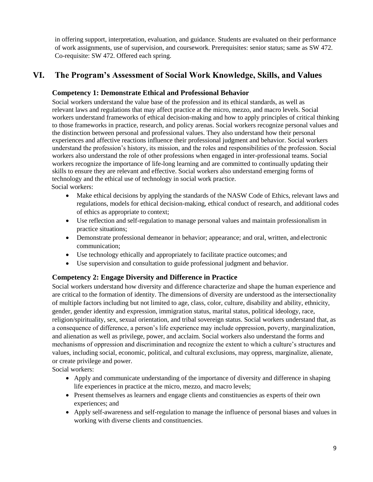<span id="page-9-3"></span>in offering support, interpretation, evaluation, and guidance. Students are evaluated on their performance of work assignments, use of supervision, and coursework. Prerequisites: senior status; same as SW 472. Co-requisite: SW 472. Offered each spring.

## <span id="page-9-1"></span><span id="page-9-0"></span>**VI. The Program's Assessment of Social Work Knowledge, Skills, and Values**

#### **Competency 1: Demonstrate Ethical and Professional Behavior**

Social workers understand the value base of the profession and its ethical standards, as well as relevant laws and regulations that may affect practice at the micro, mezzo, and macro levels. Social workers understand frameworks of ethical decision-making and how to apply principles of critical thinking to those frameworks in practice, research, and policy arenas. Social workers recognize personal values and the distinction between personal and professional values. They also understand how their personal experiences and affective reactions influence their professional judgment and behavior. Social workers understand the profession's history, its mission, and the roles and responsibilities of the profession. Social workers also understand the role of other professions when engaged in inter-professional teams. Social workers recognize the importance of life-long learning and are committed to continually updating their skills to ensure they are relevant and effective. Social workers also understand emerging forms of technology and the ethical use of technology in social work practice. Social workers:

- Make ethical decisions by applying the standards of the NASW Code of Ethics, relevant laws and regulations, models for ethical decision-making, ethical conduct of research, and additional codes of ethics as appropriate to context;
- Use reflection and self-regulation to manage personal values and maintain professionalism in practice situations;
- Demonstrate professional demeanor in behavior; appearance; and oral, written, and electronic communication;
- Use technology ethically and appropriately to facilitate practice outcomes; and
- Use supervision and consultation to guide professional judgment and behavior.

## <span id="page-9-2"></span>**Competency 2: Engage Diversity and Difference in Practice**

Social workers understand how diversity and difference characterize and shape the human experience and are critical to the formation of identity. The dimensions of diversity are understood as the intersectionality of multiple factors including but not limited to age, class, color, culture, disability and ability, ethnicity, gender, gender identity and expression, immigration status, marital status, political ideology, race, religion/spirituality, sex, sexual orientation, and tribal sovereign status. Social workers understand that, as a consequence of difference, a person's life experience may include oppression, poverty, marginalization, and alienation as well as privilege, power, and acclaim. Social workers also understand the forms and mechanisms of oppression and discrimination and recognize the extent to which a culture's structures and values, including social, economic, political, and cultural exclusions, may oppress, marginalize, alienate, or create privilege and power.

Social workers:

- Apply and communicate understanding of the importance of diversity and difference in shaping life experiences in practice at the micro, mezzo, and macro levels;
- Present themselves as learners and engage clients and constituencies as experts of their own experiences; and
- Apply self-awareness and self-regulation to manage the influence of personal biases and values in working with diverse clients and constituencies.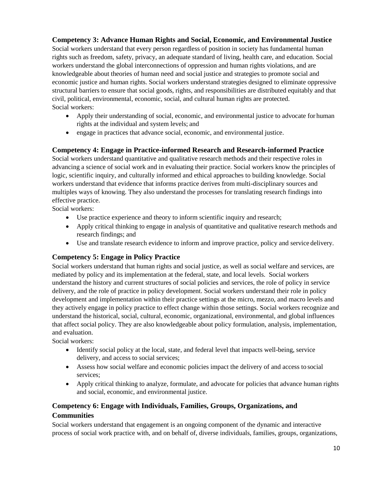## **Competency 3: Advance Human Rights and Social, Economic, and Environmental Justice**

Social workers understand that every person regardless of position in society has fundamental human rights such as freedom, safety, privacy, an adequate standard of living, health care, and education. Social workers understand the global interconnections of oppression and human rights violations, and are knowledgeable about theories of human need and social justice and strategies to promote social and economic justice and human rights. Social workers understand strategies designed to eliminate oppressive structural barriers to ensure that social goods, rights, and responsibilities are distributed equitably and that civil, political, environmental, economic, social, and cultural human rights are protected. Social workers:

- Apply their understanding of social, economic, and environmental justice to advocate for human rights at the individual and system levels; and
- engage in practices that advance social, economic, and environmental justice.

#### <span id="page-10-0"></span>**Competency 4: Engage in Practice-informed Research and Research-informed Practice**

Social workers understand quantitative and qualitative research methods and their respective roles in advancing a science of social work and in evaluating their practice. Social workers know the principles of logic, scientific inquiry, and culturally informed and ethical approaches to building knowledge. Social workers understand that evidence that informs practice derives from multi-disciplinary sources and multiples ways of knowing. They also understand the processes for translating research findings into effective practice.

Social workers:

- Use practice experience and theory to inform scientific inquiry and research;
- Apply critical thinking to engage in analysis of quantitative and qualitative research methods and research findings; and
- Use and translate research evidence to inform and improve practice, policy and service delivery.

## <span id="page-10-1"></span>**Competency 5: Engage in Policy Practice**

Social workers understand that human rights and social justice, as well as social welfare and services, are mediated by policy and its implementation at the federal, state, and local levels. Social workers understand the history and current structures of social policies and services, the role of policy in service delivery, and the role of practice in policy development. Social workers understand their role in policy development and implementation within their practice settings at the micro, mezzo, and macro levels and they actively engage in policy practice to effect change within those settings. Social workers recognize and understand the historical, social, cultural, economic, organizational, environmental, and global influences that affect social policy. They are also knowledgeable about policy formulation, analysis, implementation, and evaluation.

Social workers:

- Identify social policy at the local, state, and federal level that impacts well-being, service delivery, and access to social services;
- Assess how social welfare and economic policies impact the delivery of and access to social services;
- Apply critical thinking to analyze, formulate, and advocate for policies that advance human rights and social, economic, and environmental justice.

## <span id="page-10-2"></span>**Competency 6: Engage with Individuals, Families, Groups, Organizations, and Communities**

Social workers understand that engagement is an ongoing component of the dynamic and interactive process of social work practice with, and on behalf of, diverse individuals, families, groups, organizations,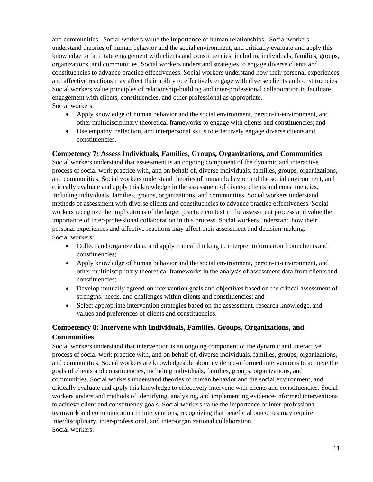and communities. Social workers value the importance of human relationships. Social workers understand theories of human behavior and the social environment, and critically evaluate and apply this knowledge to facilitate engagement with clients and constituencies, including individuals, families, groups, organizations, and communities. Social workers understand strategies to engage diverse clients and constituencies to advance practice effectiveness. Social workers understand how their personal experiences and affective reactions may affect their ability to effectively engage with diverse clients andconstituencies. Social workers value principles of relationship-building and inter-professional collaboration to facilitate engagement with clients, constituencies, and other professional as appropriate. Social workers:

- Apply knowledge of human behavior and the social environment, person-in-environment, and other multidisciplinary theoretical frameworks to engage with clients and constituencies; and
- Use empathy, reflection, and interpersonal skills to effectively engage diverse clients and constituencies.

#### <span id="page-11-0"></span>**Competency 7: Assess Individuals, Families, Groups, Organizations, and Communities**

Social workers understand that assessment is an ongoing component of the dynamic and interactive process of social work practice with, and on behalf of, diverse individuals, families, groups, organizations, and communities. Social workers understand theories of human behavior and the social environment, and critically evaluate and apply this knowledge in the assessment of diverse clients and constituencies, including individuals, families, groups, organizations, and communities. Social workers understand methods of assessment with diverse clients and constituencies to advance practice effectiveness. Social workers recognize the implications of the larger practice context in the assessment process and value the importance of inter-professional collaboration in this process. Social workers understand how their personal experiences and affective reactions may affect their assessment and decision-making. Social workers:

- Collect and organize data, and apply critical thinking to interpret information from clients and constituencies;
- Apply knowledge of human behavior and the social environment, person-in-environment, and other multidisciplinary theoretical frameworks in the analysis of assessment data from clientsand constituencies;
- Develop mutually agreed-on intervention goals and objectives based on the critical assessment of strengths, needs, and challenges within clients and constituencies; and
- Select appropriate intervention strategies based on the assessment, research knowledge, and values and preferences of clients and constituencies.

## <span id="page-11-1"></span>**Competency 8: Intervene with Individuals, Families, Groups, Organizations, and Communities**

Social workers understand that intervention is an ongoing component of the dynamic and interactive process of social work practice with, and on behalf of, diverse individuals, families, groups, organizations, and communities. Social workers are knowledgeable about evidence-informed interventions to achieve the goals of clients and constituencies, including individuals, families, groups, organizations, and communities. Social workers understand theories of human behavior and the social environment, and critically evaluate and apply this knowledge to effectively intervene with clients and constituencies. Social workers understand methods of identifying, analyzing, and implementing evidence-informed interventions to achieve client and constituency goals. Social workers value the importance of inter-professional teamwork and communication in interventions, recognizing that beneficial outcomes may require interdisciplinary, inter-professional, and inter-organizational collaboration. Social workers: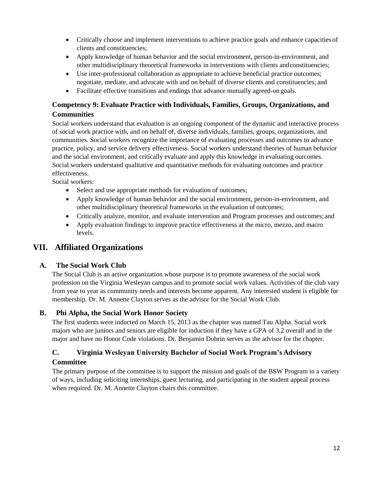- Critically choose and implement interventions to achieve practice goals and enhance capacities of clients and constituencies;
- Apply knowledge of human behavior and the social environment, person-in-environment, and other multidisciplinary theoretical frameworks in interventions with clients andconstituencies;
- Use inter-professional collaboration as appropriate to achieve beneficial practice outcomes; negotiate, mediate, and advocate with and on behalf of diverse clients and constituencies; and
- Facilitate effective transitions and endings that advance mutually agreed-on goals.

## <span id="page-12-0"></span>**Competency 9: Evaluate Practice with Individuals, Families, Groups, Organizations, and Communities**

Social workers understand that evaluation is an ongoing component of the dynamic and interactive process of social work practice with, and on behalf of, diverse individuals, families, groups, organizations, and communities. Social workers recognize the importance of evaluating processes and outcomes to advance practice, policy, and service delivery effectiveness. Social workers understand theories of human behavior and the social environment, and critically evaluate and apply this knowledge in evaluating outcomes. Social workers understand qualitative and quantitative methods for evaluating outcomes and practice effectiveness.

Social workers:

- Select and use appropriate methods for evaluation of outcomes;
- Apply knowledge of human behavior and the social environment, person-in-environment, and other multidisciplinary theoretical frameworks in the evaluation of outcomes;
- Critically analyze, monitor, and evaluate intervention and Program processes and outcomes; and
- Apply evaluation findings to improve practice effectiveness at the micro, mezzo, and macro levels.

## <span id="page-12-1"></span>**VII. Affiliated Organizations**

#### <span id="page-12-2"></span>**A. The Social Work Club**

The Social Club is an active organization whose purpose is to promote awareness of the social work profession on the Virginia Wesleyan campus and to promote social work values. Activities of the club vary from year to year as community needs and interests become apparent. Any interested student is eligible for membership. Dr. M. Annette Clayton serves as the advisor for the Social Work Club.

#### <span id="page-12-3"></span>**B. Phi Alpha, the Social Work Honor Society**

The first students were inducted on March 15, 2013 as the chapter was named Tau Alpha. Social work majors who are juniors and seniors are eligible for induction if they have a GPA of 3.2 overall and in the major and have no Honor Code violations. Dr. Benjamin Dobrin serves as the advisor for the chapter.

## <span id="page-12-4"></span>**C. Virginia Wesleyan University Bachelor of Social Work Program's Advisory Committee**

The primary purpose of the committee is to support the mission and goals of the BSW Program in a variety of ways, including soliciting internships, guest lecturing, and participating in the student appeal process when required. Dr. M. Annette Clayton chairs this committee.